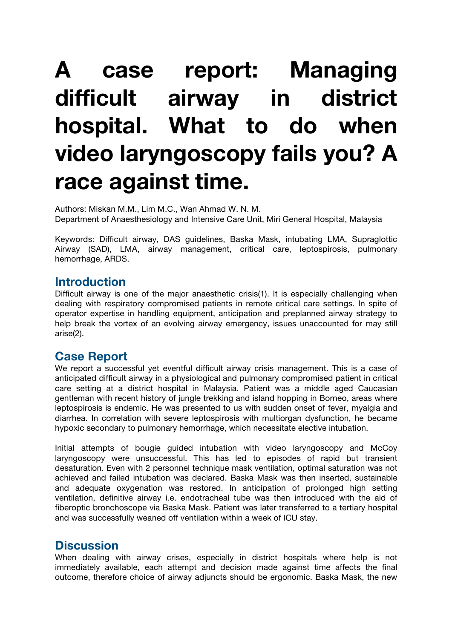# **A case report: Managing difficult airway in district hospital. What to do when video laryngoscopy fails you? A race against time.**

Authors: Miskan M.M., Lim M.C., Wan Ahmad W. N. M. Department of Anaesthesiology and Intensive Care Unit, Miri General Hospital, Malaysia

Keywords: Difficult airway, DAS guidelines, Baska Mask, intubating LMA, Supraglottic Airway (SAD), LMA, airway management, critical care, leptospirosis, pulmonary hemorrhage, ARDS.

### **Introduction**

Difficult airway is one of the major anaesthetic crisis(1). It is especially challenging when dealing with respiratory compromised patients in remote critical care settings. In spite of operator expertise in handling equipment, anticipation and preplanned airway strategy to help break the vortex of an evolving airway emergency, issues unaccounted for may still arise(2).

## **Case Report**

We report a successful yet eventful difficult airway crisis management. This is a case of anticipated difficult airway in a physiological and pulmonary compromised patient in critical care setting at a district hospital in Malaysia. Patient was a middle aged Caucasian gentleman with recent history of jungle trekking and island hopping in Borneo, areas where leptospirosis is endemic. He was presented to us with sudden onset of fever, myalgia and diarrhea. In correlation with severe leptospirosis with multiorgan dysfunction, he became hypoxic secondary to pulmonary hemorrhage, which necessitate elective intubation.

Initial attempts of bougie guided intubation with video laryngoscopy and McCoy laryngoscopy were unsuccessful. This has led to episodes of rapid but transient desaturation. Even with 2 personnel technique mask ventilation, optimal saturation was not achieved and failed intubation was declared. Baska Mask was then inserted, sustainable and adequate oxygenation was restored. In anticipation of prolonged high setting ventilation, definitive airway i.e. endotracheal tube was then introduced with the aid of fiberoptic bronchoscope via Baska Mask. Patient was later transferred to a tertiary hospital and was successfully weaned off ventilation within a week of ICU stay.

## **Discussion**

When dealing with airway crises, especially in district hospitals where help is not immediately available, each attempt and decision made against time affects the final outcome, therefore choice of airway adjuncts should be ergonomic. Baska Mask, the new